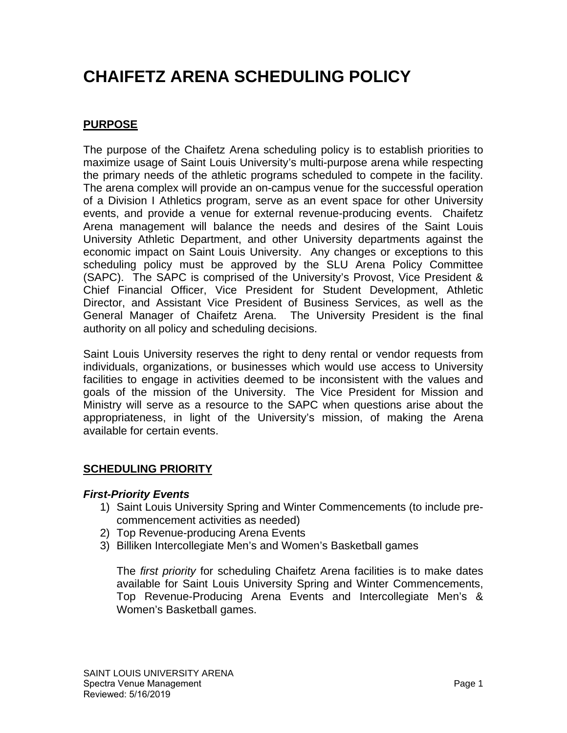# **CHAIFETZ ARENA SCHEDULING POLICY**

# **PURPOSE**

The purpose of the Chaifetz Arena scheduling policy is to establish priorities to maximize usage of Saint Louis University's multi-purpose arena while respecting the primary needs of the athletic programs scheduled to compete in the facility. The arena complex will provide an on-campus venue for the successful operation of a Division I Athletics program, serve as an event space for other University events, and provide a venue for external revenue-producing events. Chaifetz Arena management will balance the needs and desires of the Saint Louis University Athletic Department, and other University departments against the economic impact on Saint Louis University. Any changes or exceptions to this scheduling policy must be approved by the SLU Arena Policy Committee (SAPC). The SAPC is comprised of the University's Provost, Vice President & Chief Financial Officer, Vice President for Student Development, Athletic Director, and Assistant Vice President of Business Services, as well as the General Manager of Chaifetz Arena. The University President is the final authority on all policy and scheduling decisions.

Saint Louis University reserves the right to deny rental or vendor requests from individuals, organizations, or businesses which would use access to University facilities to engage in activities deemed to be inconsistent with the values and goals of the mission of the University. The Vice President for Mission and Ministry will serve as a resource to the SAPC when questions arise about the appropriateness, in light of the University's mission, of making the Arena available for certain events.

## **SCHEDULING PRIORITY**

#### *First-Priority Events*

- 1) Saint Louis University Spring and Winter Commencements (to include precommencement activities as needed)
- 2) Top Revenue-producing Arena Events
- 3) Billiken Intercollegiate Men's and Women's Basketball games

The *first priority* for scheduling Chaifetz Arena facilities is to make dates available for Saint Louis University Spring and Winter Commencements, Top Revenue-Producing Arena Events and Intercollegiate Men's & Women's Basketball games.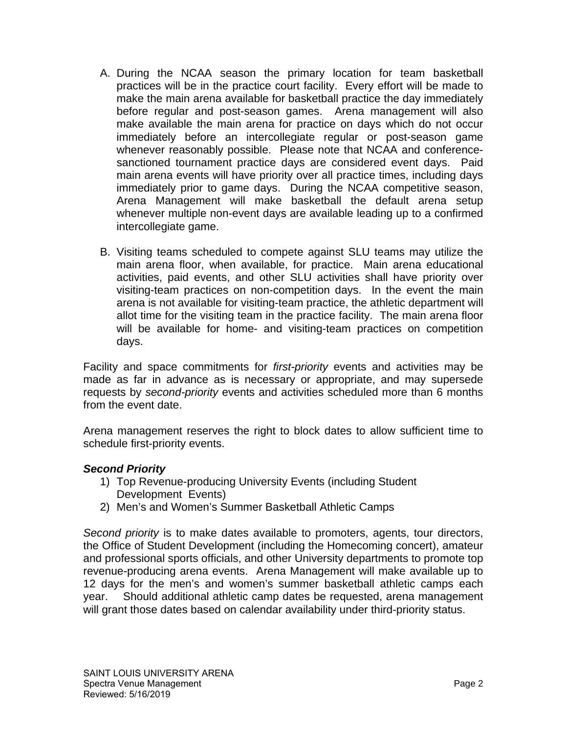- A. During the NCAA season the primary location for team basketball practices will be in the practice court facility. Every effort will be made to make the main arena available for basketball practice the day immediately before regular and post-season games. Arena management will also make available the main arena for practice on days which do not occur immediately before an intercollegiate regular or post-season game whenever reasonably possible. Please note that NCAA and conferencesanctioned tournament practice days are considered event days. Paid main arena events will have priority over all practice times, including days immediately prior to game days. During the NCAA competitive season, Arena Management will make basketball the default arena setup whenever multiple non-event days are available leading up to a confirmed intercollegiate game.
- B. Visiting teams scheduled to compete against SLU teams may utilize the main arena floor, when available, for practice. Main arena educational activities, paid events, and other SLU activities shall have priority over visiting-team practices on non-competition days. In the event the main arena is not available for visiting-team practice, the athletic department will allot time for the visiting team in the practice facility. The main arena floor will be available for home- and visiting-team practices on competition days.

Facility and space commitments for *first-priority* events and activities may be made as far in advance as is necessary or appropriate, and may supersede requests by *second-priority* events and activities scheduled more than 6 months from the event date.

Arena management reserves the right to block dates to allow sufficient time to schedule first-priority events.

#### *Second Priority*

- 1) Top Revenue-producing University Events (including Student Development Events)
- 2) Men's and Women's Summer Basketball Athletic Camps

*Second priority* is to make dates available to promoters, agents, tour directors, the Office of Student Development (including the Homecoming concert), amateur and professional sports officials, and other University departments to promote top revenue-producing arena events. Arena Management will make available up to 12 days for the men's and women's summer basketball athletic camps each year. Should additional athletic camp dates be requested, arena management will grant those dates based on calendar availability under third-priority status.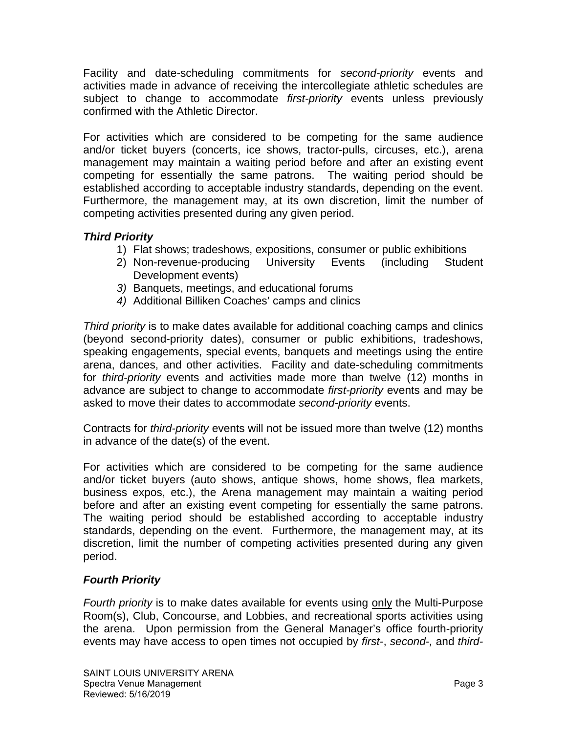Facility and date-scheduling commitments for *second-priority* events and activities made in advance of receiving the intercollegiate athletic schedules are subject to change to accommodate *first-priority* events unless previously confirmed with the Athletic Director.

For activities which are considered to be competing for the same audience and/or ticket buyers (concerts, ice shows, tractor-pulls, circuses, etc.), arena management may maintain a waiting period before and after an existing event competing for essentially the same patrons. The waiting period should be established according to acceptable industry standards, depending on the event. Furthermore, the management may, at its own discretion, limit the number of competing activities presented during any given period.

#### *Third Priority*

- 1) Flat shows; tradeshows, expositions, consumer or public exhibitions
- 2) Non-revenue-producing University Events (including Student Development events)
- *3)* Banquets, meetings, and educational forums
- *4)* Additional Billiken Coaches' camps and clinics

*Third priority* is to make dates available for additional coaching camps and clinics (beyond second-priority dates), consumer or public exhibitions, tradeshows, speaking engagements, special events, banquets and meetings using the entire arena, dances, and other activities. Facility and date-scheduling commitments for *third-priority* events and activities made more than twelve (12) months in advance are subject to change to accommodate *first-priority* events and may be asked to move their dates to accommodate *second-priority* events.

Contracts for *third-priority* events will not be issued more than twelve (12) months in advance of the date(s) of the event.

For activities which are considered to be competing for the same audience and/or ticket buyers (auto shows, antique shows, home shows, flea markets, business expos, etc.), the Arena management may maintain a waiting period before and after an existing event competing for essentially the same patrons. The waiting period should be established according to acceptable industry standards, depending on the event. Furthermore, the management may, at its discretion, limit the number of competing activities presented during any given period.

## *Fourth Priority*

*Fourth priority* is to make dates available for events using only the Multi-Purpose Room(s), Club, Concourse, and Lobbies, and recreational sports activities using the arena. Upon permission from the General Manager's office fourth-priority events may have access to open times not occupied by *first-*, *second-,* and *third-*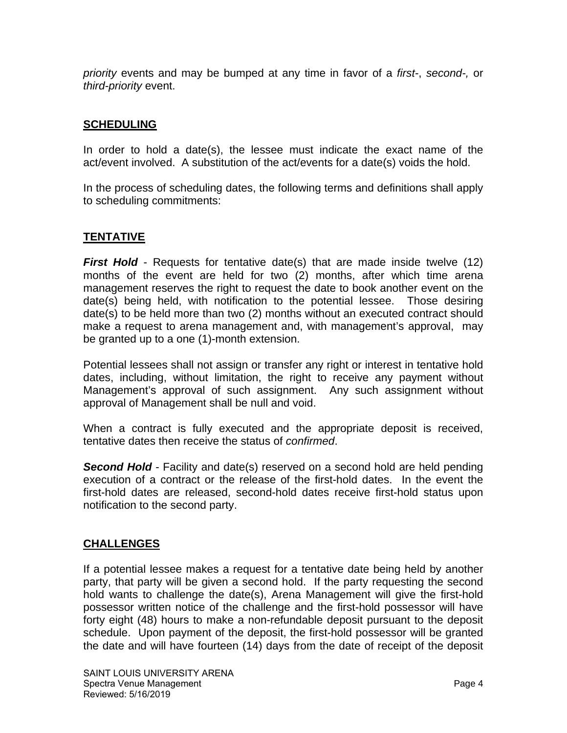*priority* events and may be bumped at any time in favor of a *first-*, *second-,* or *third-priority* event.

#### **SCHEDULING**

In order to hold a date(s), the lessee must indicate the exact name of the act/event involved. A substitution of the act/events for a date(s) voids the hold.

In the process of scheduling dates, the following terms and definitions shall apply to scheduling commitments:

#### **TENTATIVE**

*First Hold* - Requests for tentative date(s) that are made inside twelve (12) months of the event are held for two (2) months, after which time arena management reserves the right to request the date to book another event on the date(s) being held, with notification to the potential lessee. Those desiring date(s) to be held more than two (2) months without an executed contract should make a request to arena management and, with management's approval, may be granted up to a one (1)-month extension.

Potential lessees shall not assign or transfer any right or interest in tentative hold dates, including, without limitation, the right to receive any payment without Management's approval of such assignment. Any such assignment without approval of Management shall be null and void.

When a contract is fully executed and the appropriate deposit is received, tentative dates then receive the status of *confirmed*.

**Second Hold** - Facility and date(s) reserved on a second hold are held pending execution of a contract or the release of the first-hold dates. In the event the first-hold dates are released, second-hold dates receive first-hold status upon notification to the second party.

#### **CHALLENGES**

If a potential lessee makes a request for a tentative date being held by another party, that party will be given a second hold. If the party requesting the second hold wants to challenge the date(s), Arena Management will give the first-hold possessor written notice of the challenge and the first-hold possessor will have forty eight (48) hours to make a non-refundable deposit pursuant to the deposit schedule. Upon payment of the deposit, the first-hold possessor will be granted the date and will have fourteen (14) days from the date of receipt of the deposit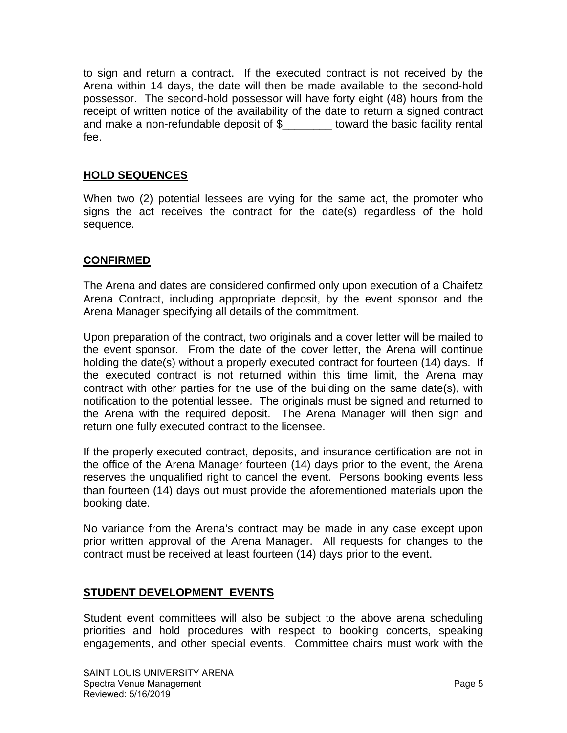to sign and return a contract. If the executed contract is not received by the Arena within 14 days, the date will then be made available to the second-hold possessor. The second-hold possessor will have forty eight (48) hours from the receipt of written notice of the availability of the date to return a signed contract and make a non-refundable deposit of \$\_\_\_\_\_\_\_\_ toward the basic facility rental fee.

#### **HOLD SEQUENCES**

When two (2) potential lessees are vying for the same act, the promoter who signs the act receives the contract for the date(s) regardless of the hold sequence.

#### **CONFIRMED**

The Arena and dates are considered confirmed only upon execution of a Chaifetz Arena Contract, including appropriate deposit, by the event sponsor and the Arena Manager specifying all details of the commitment.

Upon preparation of the contract, two originals and a cover letter will be mailed to the event sponsor. From the date of the cover letter, the Arena will continue holding the date(s) without a properly executed contract for fourteen (14) days. If the executed contract is not returned within this time limit, the Arena may contract with other parties for the use of the building on the same date(s), with notification to the potential lessee. The originals must be signed and returned to the Arena with the required deposit. The Arena Manager will then sign and return one fully executed contract to the licensee.

If the properly executed contract, deposits, and insurance certification are not in the office of the Arena Manager fourteen (14) days prior to the event, the Arena reserves the unqualified right to cancel the event. Persons booking events less than fourteen (14) days out must provide the aforementioned materials upon the booking date.

No variance from the Arena's contract may be made in any case except upon prior written approval of the Arena Manager. All requests for changes to the contract must be received at least fourteen (14) days prior to the event.

#### **STUDENT DEVELOPMENT EVENTS**

Student event committees will also be subject to the above arena scheduling priorities and hold procedures with respect to booking concerts, speaking engagements, and other special events. Committee chairs must work with the